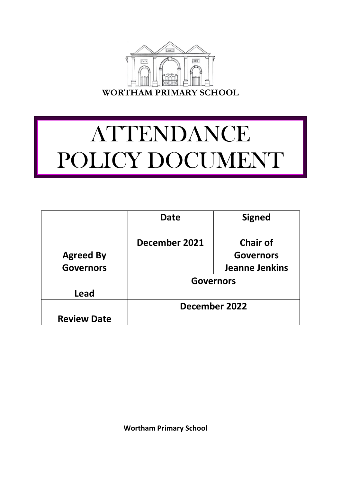

# ATTENDANCE POLICY DOCUMENT

|                    | Date             | <b>Signed</b>         |
|--------------------|------------------|-----------------------|
|                    | December 2021    | <b>Chair of</b>       |
| <b>Agreed By</b>   |                  | <b>Governors</b>      |
| <b>Governors</b>   |                  | <b>Jeanne Jenkins</b> |
|                    | <b>Governors</b> |                       |
| Lead               |                  |                       |
|                    | December 2022    |                       |
| <b>Review Date</b> |                  |                       |

 **Wortham Primary School**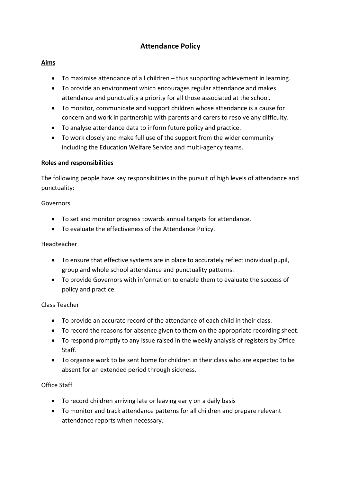# **Attendance Policy**

# **Aims**

- To maximise attendance of all children thus supporting achievement in learning.
- To provide an environment which encourages regular attendance and makes attendance and punctuality a priority for all those associated at the school.
- To monitor, communicate and support children whose attendance is a cause for concern and work in partnership with parents and carers to resolve any difficulty.
- To analyse attendance data to inform future policy and practice.
- To work closely and make full use of the support from the wider community including the Education Welfare Service and multi-agency teams.

#### **Roles and responsibilities**

The following people have key responsibilities in the pursuit of high levels of attendance and punctuality:

#### Governors

- To set and monitor progress towards annual targets for attendance.
- To evaluate the effectiveness of the Attendance Policy.

#### Headteacher

- To ensure that effective systems are in place to accurately reflect individual pupil, group and whole school attendance and punctuality patterns.
- To provide Governors with information to enable them to evaluate the success of policy and practice.

# Class Teacher

- To provide an accurate record of the attendance of each child in their class.
- To record the reasons for absence given to them on the appropriate recording sheet.
- To respond promptly to any issue raised in the weekly analysis of registers by Office Staff.
- To organise work to be sent home for children in their class who are expected to be absent for an extended period through sickness.

# Office Staff

- To record children arriving late or leaving early on a daily basis
- To monitor and track attendance patterns for all children and prepare relevant attendance reports when necessary.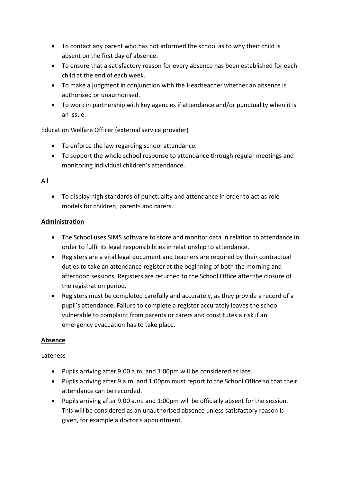- To contact any parent who has not informed the school as to why their child is absent on the first day of absence.
- To ensure that a satisfactory reason for every absence has been established for each child at the end of each week.
- To make a judgment in conjunction with the Headteacher whether an absence is authorised or unauthorised.
- To work in partnership with key agencies if attendance and/or punctuality when it is an issue.

Education Welfare Officer (external service provider)

- To enforce the law regarding school attendance.
- To support the whole school response to attendance through regular meetings and monitoring individual children's attendance.

# All

 To display high standards of punctuality and attendance in order to act as role models for children, parents and carers.

# **Administration**

- The School uses SIMS software to store and monitor data in relation to attendance in order to fulfil its legal responsibilities in relationship to attendance.
- Registers are a vital legal document and teachers are required by their contractual duties to take an attendance register at the beginning of both the morning and afternoon sessions. Registers are returned to the School Office after the closure of the registration period.
- Registers must be completed carefully and accurately, as they provide a record of a pupil's attendance. Failure to complete a register accurately leaves the school vulnerable to complaint from parents or carers and constitutes a risk if an emergency evacuation has to take place.

# **Absence**

# Lateness

- Pupils arriving after 9:00 a.m. and 1:00pm will be considered as late.
- Pupils arriving after 9 a.m. and 1:00pm must report to the School Office so that their attendance can be recorded.
- Pupils arriving after 9.00 a.m. and 1:00pm will be officially absent for the session. This will be considered as an unauthorised absence unless satisfactory reason is given, for example a doctor's appointment.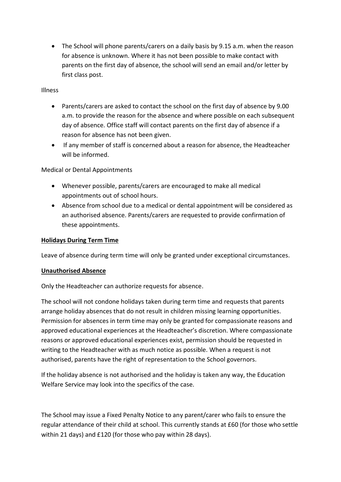The School will phone parents/carers on a daily basis by 9.15 a.m. when the reason for absence is unknown. Where it has not been possible to make contact with parents on the first day of absence, the school will send an email and/or letter by first class post.

# Illness

- Parents/carers are asked to contact the school on the first day of absence by 9.00 a.m. to provide the reason for the absence and where possible on each subsequent day of absence. Office staff will contact parents on the first day of absence if a reason for absence has not been given.
- If any member of staff is concerned about a reason for absence, the Headteacher will be informed.

Medical or Dental Appointments

- Whenever possible, parents/carers are encouraged to make all medical appointments out of school hours.
- Absence from school due to a medical or dental appointment will be considered as an authorised absence. Parents/carers are requested to provide confirmation of these appointments.

#### **Holidays During Term Time**

Leave of absence during term time will only be granted under exceptional circumstances.

#### **Unauthorised Absence**

Only the Headteacher can authorize requests for absence.

The school will not condone holidays taken during term time and requests that parents arrange holiday absences that do not result in children missing learning opportunities. Permission for absences in term time may only be granted for compassionate reasons and approved educational experiences at the Headteacher's discretion. Where compassionate reasons or approved educational experiences exist, permission should be requested in writing to the Headteacher with as much notice as possible. When a request is not authorised, parents have the right of representation to the School governors.

If the holiday absence is not authorised and the holiday is taken any way, the Education Welfare Service may look into the specifics of the case.

The School may issue a Fixed Penalty Notice to any parent/carer who fails to ensure the regular attendance of their child at school. This currently stands at £60 (for those who settle within 21 days) and £120 (for those who pay within 28 days).